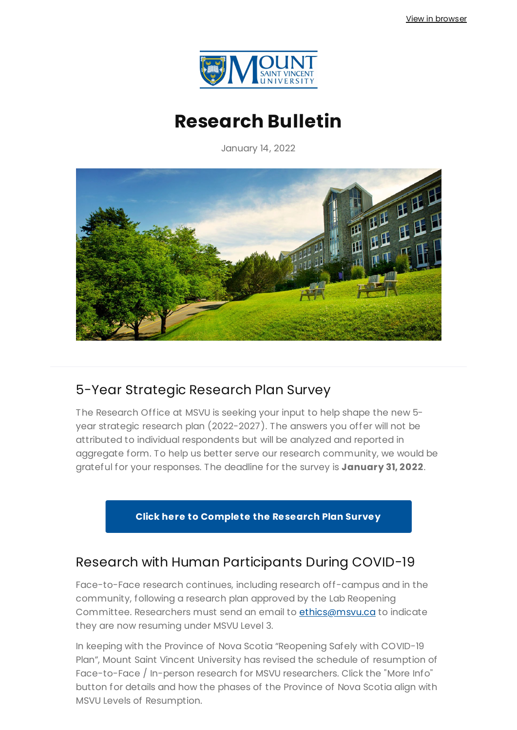

# **Research Bulletin**

January 14, 2022



### 5-Year Strategic Research Plan Survey

The Research Office at MSVU is seeking your input to help shape the new 5 year strategic research plan (2022-2027). The answers you offer will not be attributed to individual respondents but will be analyzed and reported in aggregate form. To help us better serve our research community, we would be grateful for your responses. The deadline for the survey is **January 31, 2022**.

**Click here to [Complete](https://forms.office.com/Pages/ResponsePage.aspx?id=cF4Z0V-78UOJAks_bPxJxve1D6Oisz5Cp7F1zvQFzclUQjFHOVRTR1hJMURPTUpLMEk3NTcxUDQxUi4u) the Research Plan Survey**

### Research with Human Participants During COVID-19

Face-to-Face research continues, including research off-campus and in the community, following a research plan approved by the Lab Reopening Committee. Researchers must send an email to [ethics@msvu.ca](mailto:ethics@msvu.ca) to indicate they are now resuming under MSVU Level 3.

In keeping with the Province of Nova Scotia "Reopening Safely with COVID-19 Plan", Mount Saint Vincent University has revised the schedule of resumption of Face-to-Face / In-person research for MSVU researchers. Click the "More Info" button for details and how the phases of the Province of Nova Scotia align with MSVU Levels of Resumption.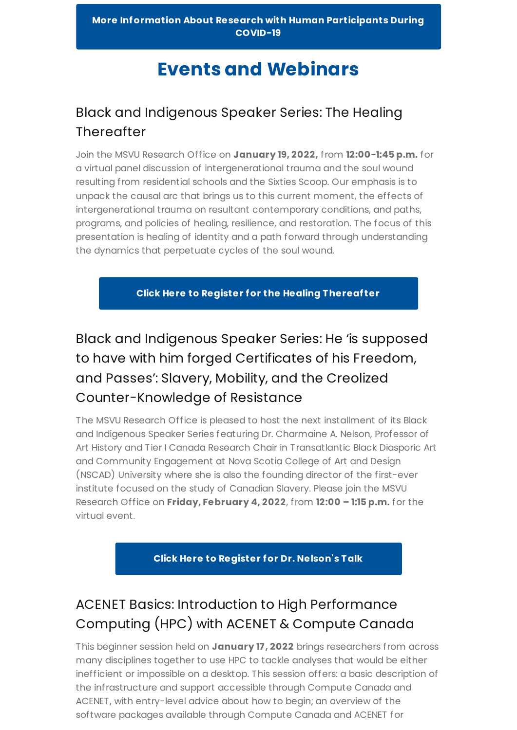# **Events and Webinars**

### Black and Indigenous Speaker Series: The Healing **Thereafter**

Join the MSVU Research Office on **January 19, 2022,** from **12:00-1:45 p.m.** for a virtual panel discussion of intergenerational trauma and the soul wound resulting from residential schools and the Sixties Scoop. Our emphasis is to unpack the causal arc that brings us to this current moment, the effects of intergenerational trauma on resultant contemporary conditions, and paths, programs, and policies of healing, resilience, and restoration. The focus of this presentation is healing of identity and a path forward through understanding the dynamics that perpetuate cycles of the soul wound.

**Click Here to [Register](https://forms.office.com/pages/responsepage.aspx?id=cF4Z0V-78UOJAks_bPxJxp_BmF8oyR9Ph4AwG84zSyxUM1BSWDA4VldDWlBETzhHUjVKTFdTRkpQOS4u&web=1&wdLOR=c3D800DD5-1952-0D40-A465-EB87DC4CEEA6) for the Healing Thereaf ter**

## Black and Indigenous Speaker Series: He 'is supposed to have with him forged Certificates of his Freedom, and Passes': Slavery, Mobility, and the Creolized Counter-Knowledge of Resistance

The MSVU Research Office is pleased to host the next installment of its Black and Indigenous Speaker Series featuring Dr. Charmaine A. Nelson, Professor of Art History and Tier I Canada Research Chair in Transatlantic Black Diasporic Art and Community Engagement at Nova Scotia College of Art and Design (NSCAD) University where she is also the founding director of the first-ever institute focused on the study of Canadian Slavery. Please join the MSVU Research Office on **Friday, February 4, 2022**, from **12:00 – 1:15 p.m.** for the virtual event.

**Click Here to Register for Dr. [Nelson's](https://forms.office.com/r/tLgS1z0Wh6) Talk**

## ACENET Basics: Introduction to High Performance Computing (HPC) with ACENET & Compute Canada

This beginner session held on **January 17, 2022** brings researchers from across many disciplines together to use HPC to tackle analyses that would be either inefficient or impossible on a desktop. This session offers: a basic description of the infrastructure and support accessible through Compute Canada and ACENET, with entry-level advice about how to begin; an overview of the software packages available through Compute Canada and ACENET for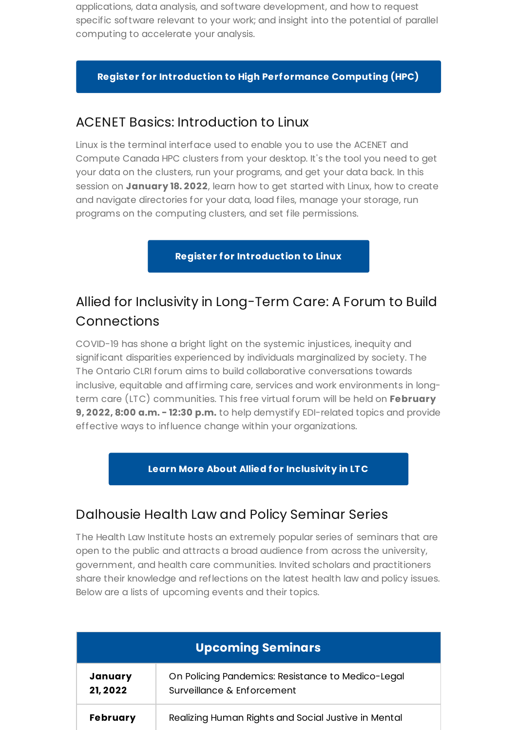applications, data analysis, and software development, and how to request specific software relevant to your work; and insight into the potential of parallel computing to accelerate your analysis.

#### **Register for Introduction to High [Performance](https://www.eventbrite.ca/e/acenet-basics-introduction-to-hpc-with-acenet-and-compute-canada-tickets-230402318537) Computing (HPC)**

### ACENET Basics: Introduction to Linux

Linux is the terminal interface used to enable you to use the ACENET and Compute Canada HPC clusters from your desktop. It's the tool you need to get your data on the clusters, run your programs, and get your data back. In this session on **January 18. 2022**, learn how to get started with Linux, how to create and navigate directories for your data, load files, manage your storage, run programs on the computing clusters, and set file permissions.

**Register for [Introduction](https://www.eventbrite.ca/e/acenet-basics-introduction-to-linux-tickets-230403642497) to Linux**

### Allied for Inclusivity in Long-Term Care: A Forum to Build [Connections](https://clri-ltc.ca/events/allied-for-inclusivity/)

COVID-19 has shone a bright light on the systemic injustices, inequity and significant disparities experienced by individuals marginalized by society. The The Ontario CLRI forum aims to build collaborative conversations towards inclusive, equitable and affirming care, services and work environments in longterm care (LTC) communities. This free virtual forum will be held on **February 9, 2022, 8:00 a.m. - 12:30 p.m.** to help demystify EDI-related topics and provide effective ways to influence change within your organizations.

#### **Learn More About Allied for [Inclusivity](https://clri-ltc.ca/events/allied-for-inclusivity/) in LTC**

#### Dalhousie Health Law and Policy Seminar Series

The Health Law Institute hosts an extremely popular series of seminars that are open to the public and attracts a broad audience from across the university, government, and health care communities. Invited scholars and practitioners share their knowledge and reflections on the latest health law and policy issues. Below are a lists of upcoming events and their topics.

| <b>Upcoming Seminars</b> |                                                                                 |
|--------------------------|---------------------------------------------------------------------------------|
| January<br>21, 2022      | On Policing Pandemics: Resistance to Medico-Legal<br>Surveillance & Enforcement |
| <b>February</b>          | Realizing Human Rights and Social Justive in Mental                             |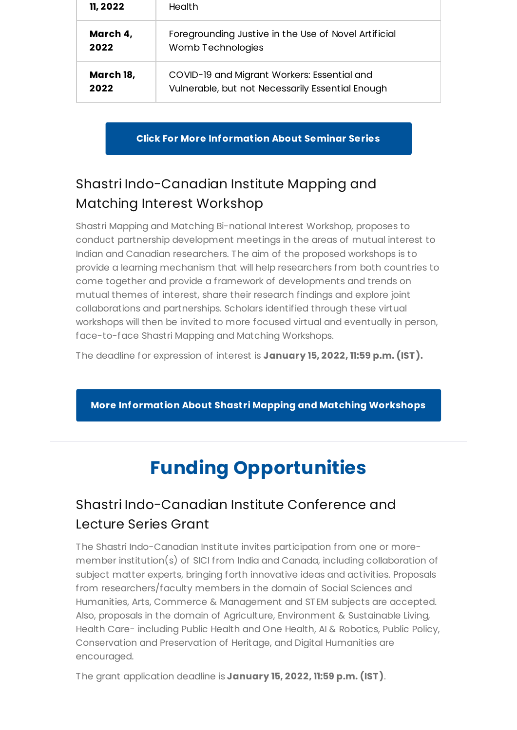| 11, 2022  | Health                                               |
|-----------|------------------------------------------------------|
| March 4,  | Foregrounding Justive in the Use of Novel Artificial |
| 2022      | Womb Technologies                                    |
| March 18, | COVID-19 and Migrant Workers: Essential and          |
| 2022      | Vulnerable, but not Necessarily Essential Enough     |

**Click For More [Information](https://www.dal.ca/faculty/law/hli/seminar-series.html) About Seminar Series**

## Shastri [Indo-Canadian](https://www.shastriinstitute.org/SMMIW) Institute Mapping and Matching Interest Workshop

Shastri Mapping and Matching Bi-national Interest Workshop, proposes to conduct partnership development meetings in the areas of mutual interest to Indian and Canadian researchers. The aim of the proposed workshops is to provide a learning mechanism that will help researchers from both countries to come together and provide a framework of developments and trends on mutual themes of interest, share their research findings and explore joint collaborations and partnerships. Scholars identified through these virtual workshops will then be invited to more focused virtual and eventually in person, face-to-face Shastri Mapping and Matching Workshops.

The deadline for expression of interest is **January 15, 2022, 11:59 p.m. (IST).**

**More [Information](https://www.shastriinstitute.org/SMMIW) About Shastri Mapping and Matching Workshops**

# **Funding Opportunities**

## Shastri Indo-Canadian Institute Conference and Lecture Series Grant

The Shastri Indo-Canadian Institute invites participation from one or moremember institution(s) of SICI from India and Canada, including collaboration of subject matter experts, bringing forth innovative ideas and activities. Proposals from researchers/faculty members in the domain of Social Sciences and Humanities, Arts, Commerce & Management and STEM subjects are accepted. Also, proposals in the domain of Agriculture, Environment & Sustainable Living, Health Care- including Public Health and One Health, AI & Robotics, Public Policy, Conservation and Preservation of Heritage, and Digital Humanities are encouraged.

The grant application deadline is **January 15, 2022, 11:59 p.m. (IST)**.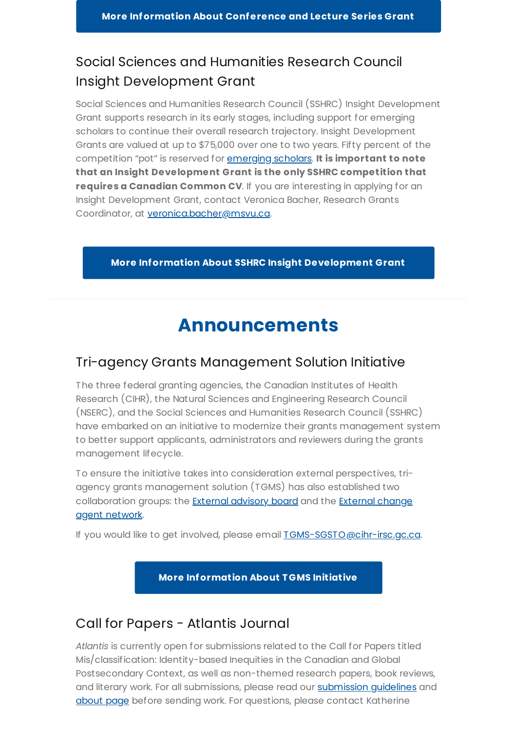### Social Sciences and Humanities Research Council Insight Development Grant

Social Sciences and Humanities Research Council (SSHRC) Insight Development Grant supports research in its early stages, including support for emerging scholars to continue their overall research trajectory. Insight Development Grants are valued at up to \$75,000 over one to two years. Fifty percent of the competition "pot" is reserved for [emerging](https://www.sshrc-crsh.gc.ca/funding-financement/programs-programmes/definitions-eng.aspx#a12) scholars. **It is important to note that an Insight Development Grant is the only SSHRC competition that requires a Canadian Common CV**. If you are interesting in applying for an Insight Development Grant, contact Veronica Bacher, Research Grants Coordinator, at [veronica.bacher@msvu.ca](mailto:veronica.bacher@msvu.ca).

**More Information About SSHRC Insight [Development](https://www.sshrc-crsh.gc.ca/funding-financement/programs-programmes/ksg_asocial_society-ssc_societe_asociale-eng.aspx) Grant**

## **Announcements**

### Tri-agency Grants Management Solution Initiative

The three federal granting agencies, the Canadian Institutes of Health Research (CIHR), the Natural Sciences and Engineering Research Council (NSERC), and the Social Sciences and Humanities Research Council (SSHRC) have embarked on an initiative to modernize their grants management system to better support applicants, administrators and reviewers during the grants management lifecycle.

To ensure the initiative takes into consideration external perspectives, triagency grants management solution (TGMS) has also established two [collaboration](https://science.gc.ca/eic/site/063.nsf/eng/h_98250.html#ecan) groups: the **External [advisory](https://science.gc.ca/eic/site/063.nsf/eng/h_98250.html#eab) board** and the **External change** agent network.

If you would like to get involved, please email **TGMS-SGSTO@cihr-irsc.gc.ca**.

**More [Information](https://science.gc.ca/eic/site/063.nsf/eng/h_97924.html) About TGMS Initiative**

### Call for Papers - Atlantis Journal

*Atlantis* is currently open for submissions related to the Call for Papers titled Mis/classification: Identity-based Inequities in the Canadian and Global Postsecondary Context, as well as non-themed research papers, book reviews, and literary work. For all [submission](https://journals.msvu.ca/index.php/atlantis/about/submissions)s, please read our submission quidelines and [about](https://journals.msvu.ca/index.php/atlantis/about) page before sending work. For questions, please contact Katherine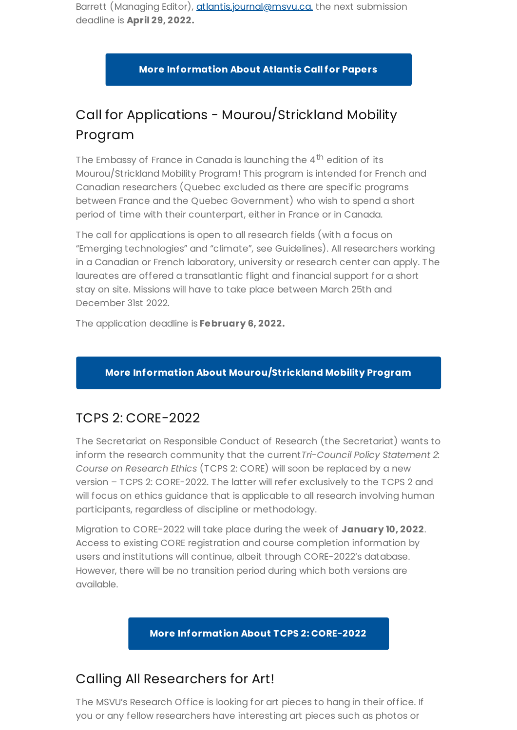Barrett (Managing Editor), [atlantis.journal@msvu.ca.](mailto:atlantis.journal@msvu.ca.) the next submission deadline is **April 29, 2022.**

**More [Information](https://journals.msvu.ca/index.php/atlantis/callforpapers) About Atlantis Call for Papers**

## Call for Applications - Mourou/Strickland Mobility Program

The Embassy of France in Canada is launching the 4<sup>th</sup> edition of its Mourou/Strickland Mobility Program! This program is intended for French and Canadian researchers (Quebec excluded as there are specific programs between France and the Quebec Government) who wish to spend a short period of time with their counterpart, either in France or in Canada.

The call for applications is open to all research fields (with a focus on "Emerging technologies" and "climate", see Guidelines). All researchers working in a Canadian or French laboratory, university or research center can apply. The laureates are offered a transatlantic flight and financial support for a short stay on site. Missions will have to take place between March 25th and December 31st 2022.

The application deadline is **February 6, 2022.**

#### **More Information About [Mourou/Strickland](https://francecanadaculture.org/appel-a-candidatures-programme-mourou-strickland-mobilite-des-chercheurs-2022/) Mobility Program**

### TCPS 2: CORE-2022

The Secretariat on Responsible Conduct of Research (the Secretariat) wants to inform the research community that the current*Tri-Council Policy Statement 2: Course on Research Ethics* (TCPS 2: CORE) will soon be replaced by a new version – TCPS 2: CORE-2022. The latter will refer exclusively to the TCPS 2 and will focus on ethics guidance that is applicable to all research involving human participants, regardless of discipline or methodology.

Migration to CORE-2022 will take place during the week of **January 10, 2022**. Access to existing CORE registration and course completion information by users and institutions will continue, albeit through CORE-2022's database. However, there will be no transition period during which both versions are available.

**More [Information](http://tcps2core.ca/welcome) About TCPS 2: CORE-2022**

### Calling All Researchers for Art!

The MSVU's Research Office is looking for art pieces to hang in their office. If you or any fellow researchers have interesting art pieces such as photos or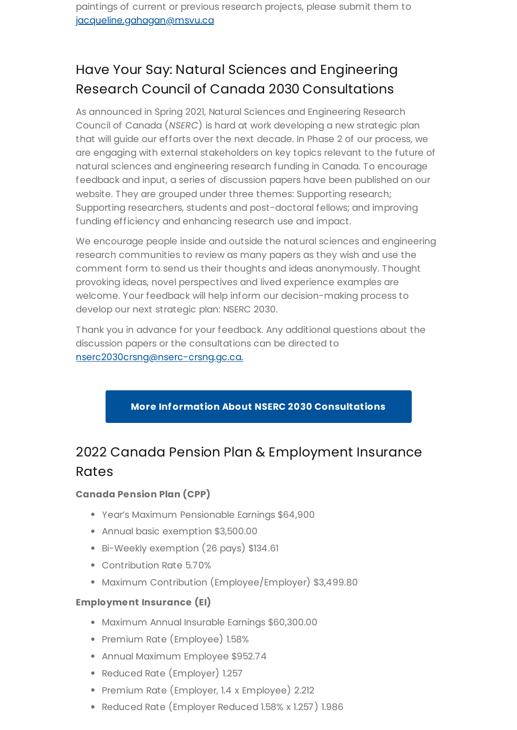## Have Your Say: Natural Sciences and Engineering Research Council of Canada 2030 Consultations

As announced in Spring 2021, Natural Sciences and Engineering Research Council of Canada (*NSERC*) is hard at work developing a new strategic plan that will guide our efforts over the next decade. In Phase 2 of our process, we are engaging with external stakeholders on key topics relevant to the future of natural sciences and engineering research funding in Canada. To encourage feedback and input, a series of discussion papers have been published on our website. They are grouped under three themes: Supporting research; Supporting researchers, students and post-doctoral fellows; and improving funding efficiency and enhancing research use and impact.

We encourage people inside and outside the natural sciences and engineering research communities to review as many papers as they wish and use the comment form to send us their thoughts and ideas anonymously. Thought provoking ideas, novel perspectives and lived experience examples are welcome. Your feedback will help inform our decision-making process to develop our next strategic plan: NSERC 2030.

Thank you in advance for your feedback. Any additional questions about the discussion papers or the consultations can be directed to [nserc2030crsng@nserc-crsng.gc.ca.](https://www.nserc-crsng.gc.ca/NSERC-CRSNG/NSERC2030-CRSNG2030/index_eng.asp)

#### **More Information About NSERC 2030 [Consultations](https://www.nserc-crsng.gc.ca/NSERC-CRSNG/NSERC2030-CRSNG2030/index_eng.asp)**

## 2022 Canada Pension Plan & Employment Insurance Rates

#### **Canada Pension Plan (CPP)**

- Year's Maximum Pensionable Earnings \$64,900
- Annual basic exemption \$3,500.00
- Bi-Weekly exemption (26 pays) \$134.61
- Contribution Rate 5.70%
- Maximum Contribution (Employee/Employer) \$3,499.80

#### **Employment Insurance (EI)**

- Maximum Annual Insurable Earnings \$60,300.00
- Premium Rate (Employee) 1.58%
- Annual Maximum Employee \$952.74
- Reduced Rate (Employer) 1.257
- Premium Rate (Employer, 1.4 x Employee) 2.212
- Reduced Rate (Employer Reduced 1.58% x 1.257) 1.986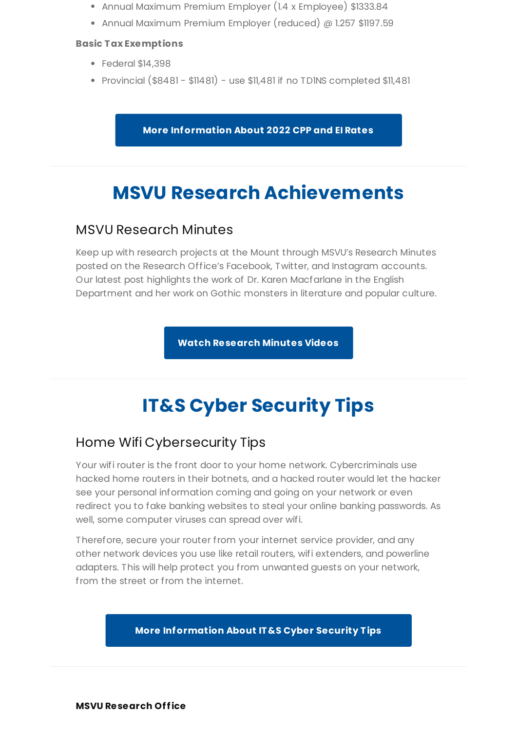- Annual Maximum Premium Employer (1.4 x Employee) \$1333.84
- Annual Maximum Premium Employer (reduced) @ 1.257 \$1197.59

#### **Basic Tax Exemptions**

- Federal \$14,398
- Provincial (\$8481 \$11481) use \$11,481 if no TD1NS completed \$11,481

**More [Information](https://www.payworks.ca/payroll-legislation/CPPEI.asp) About 2022 CPP and EI Rates**

## **MSVU Research Achievements**

#### MSVU Research Minutes

Keep up with research projects at the Mount through MSVU's Research Minutes posted on the Research Office's Facebook, Twitter, and Instagram accounts. Our latest post highlights the work of Dr. Karen Macfarlane in the English Department and her work on Gothic monsters in literature and popular culture.

**Watch [Research](https://www.msvu.ca/research-at-the-mount/about-us/research-communications-at-msvu/) Minutes Videos**

# **IT&S Cyber Security Tips**

### Home Wifi Cybersecurity Tips

Your wifi router is the front door to your home network. Cybercriminals use hacked home routers in their botnets, and a hacked router would let the hacker see your personal information coming and going on your network or even redirect you to fake banking websites to steal your online banking passwords. As well, some computer viruses can spread over wifi.

Therefore, secure your router from your internet service provider, and any other network devices you use like retail routers, wifi extenders, and powerline adapters. This will help protect you from unwanted guests on your network, from the street or from the internet.

#### **More [Information](https://www.msvu.ca/campus-life/campus-services/it-services/it-security/cybersafety/home-wifi-security/) About IT&S Cyber Security Tips**